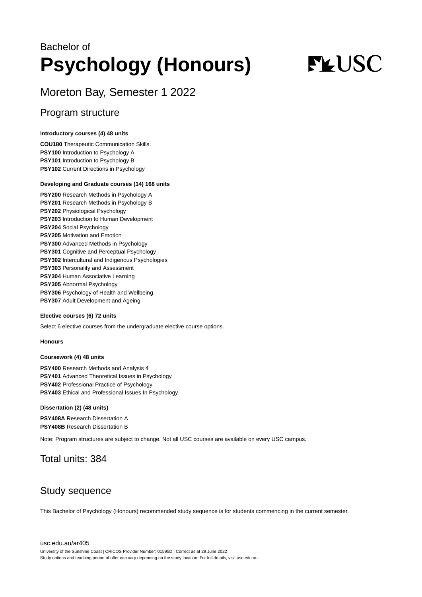## Bachelor of **Psychology (Honours)**

# **FLUSC**

## Moreton Bay, Semester 1 2022

### Program structure

#### **Introductory courses (4) 48 units**

**COU180** Therapeutic Communication Skills **PSY100** Introduction to Psychology A **PSY101** Introduction to Psychology B **PSY102** Current Directions in Psychology

#### **Developing and Graduate courses (14) 168 units**

**PSY200** Research Methods in Psychology A **PSY201** Research Methods in Psychology B **PSY202** Physiological Psychology **PSY203** Introduction to Human Development **PSY204** Social Psychology **PSY205** Motivation and Emotion **PSY300** Advanced Methods in Psychology **PSY301** Cognitive and Perceptual Psychology **PSY302** Intercultural and Indigenous Psychologies **PSY303** Personality and Assessment **PSY304** Human Associative Learning **PSY305** Abnormal Psychology **PSY306** Psychology of Health and Wellbeing **PSY307** Adult Development and Ageing

#### **Elective courses (6) 72 units**

Select 6 elective courses from the undergraduate elective course options.

#### **Honours**

#### **Coursework (4) 48 units**

**PSY400** Research Methods and Analysis 4 **PSY401** Advanced Theoretical Issues in Psychology **PSY402** Professional Practice of Psychology **PSY403** Ethical and Professional Issues In Psychology

#### **Dissertation (2) (48 units)**

**PSY408A** Research Dissertation A **PSY408B** Research Dissertation B

Note: Program structures are subject to change. Not all USC courses are available on every USC campus.

## Total units: 384

## Study sequence

This Bachelor of Psychology (Honours) recommended study sequence is for students commencing in the current semester.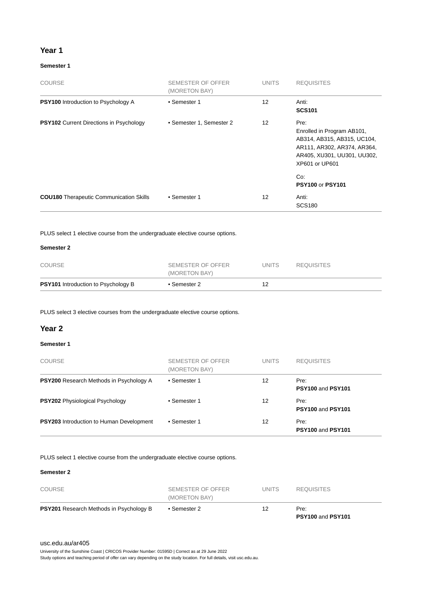#### **Year 1**

#### **Semester 1**

| <b>COURSE</b>                                  | SEMESTER OF OFFER<br>(MORETON BAY) | <b>UNITS</b>      | <b>REQUISITES</b>                                                                                                                                        |
|------------------------------------------------|------------------------------------|-------------------|----------------------------------------------------------------------------------------------------------------------------------------------------------|
| <b>PSY100</b> Introduction to Psychology A     | • Semester 1                       | 12                | Anti:<br><b>SCS101</b>                                                                                                                                   |
| <b>PSY102</b> Current Directions in Psychology | • Semester 1, Semester 2           | $12 \overline{ }$ | Pre:<br>Enrolled in Program AB101,<br>AB314, AB315, AB315, UC104,<br>AR111, AR302, AR374, AR364,<br>AR405, XU301, UU301, UU302,<br>XP601 or UP601<br>Co: |
| <b>COU180</b> Therapeutic Communication Skills | • Semester 1                       | 12                | <b>PSY100 or PSY101</b><br>Anti:<br><b>SCS180</b>                                                                                                        |

PLUS select 1 elective course from the undergraduate elective course options.

#### **Semester 2**

| <b>PSY101</b> Introduction to Psychology B | • Semester 2                       | 12    |                   |  |
|--------------------------------------------|------------------------------------|-------|-------------------|--|
| <b>COURSE</b>                              | SEMESTER OF OFFER<br>(MORETON BAY) | UNITS | <b>REQUISITES</b> |  |

PLUS select 3 elective courses from the undergraduate elective course options.

#### **Year 2**

#### **Semester 1**

| <b>COURSE</b>                                   | SEMESTER OF OFFER<br>(MORETON BAY) | <b>UNITS</b> | <b>REQUISITES</b>         |
|-------------------------------------------------|------------------------------------|--------------|---------------------------|
| <b>PSY200</b> Research Methods in Psychology A  | • Semester 1                       | 12           | Pre:<br>PSY100 and PSY101 |
| <b>PSY202</b> Physiological Psychology          | • Semester 1                       | 12           | Pre:<br>PSY100 and PSY101 |
| <b>PSY203</b> Introduction to Human Development | • Semester 1                       | 12           | Pre:<br>PSY100 and PSY101 |

PLUS select 1 elective course from the undergraduate elective course options.

#### **Semester 2**

| <b>PSY201</b> Research Methods in Psychology B | • Semester 2                       | 12    | Pre:              |  |
|------------------------------------------------|------------------------------------|-------|-------------------|--|
| <b>COURSE</b>                                  | SEMESTER OF OFFER<br>(MORETON BAY) | UNITS | <b>REQUISITES</b> |  |

#### [usc.edu.au/ar405](https://www.usc.edu.au/ar405)

University of the Sunshine Coast | CRICOS Provider Number: 01595D | Correct as at 29 June 2022

Study options and teaching period of offer can vary depending on the study location. For full details, visit usc.edu.au.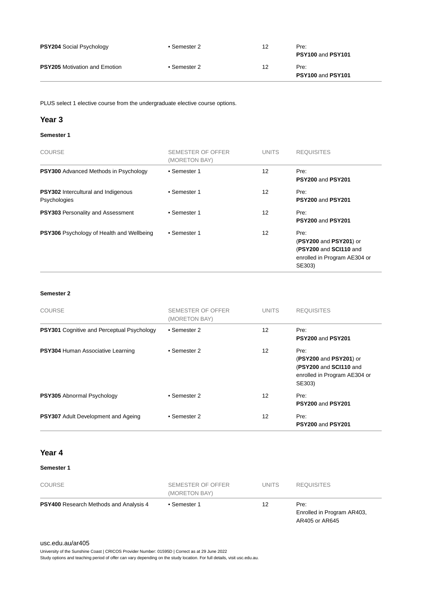| <b>PSY204 Social Psychology</b>      | • Semester 2 | 12 | Pre:<br>PSY100 and PSY101 |
|--------------------------------------|--------------|----|---------------------------|
| <b>PSY205</b> Motivation and Emotion | ∙ Semester 2 | 12 | Pre:<br>PSY100 and PSY101 |

PLUS select 1 elective course from the undergraduate elective course options.

#### **Year 3**

#### **Semester 1**

| <b>COURSE</b>                                              | SEMESTER OF OFFER<br>(MORETON BAY) | <b>UNITS</b> | <b>REQUISITES</b>                                                                                  |
|------------------------------------------------------------|------------------------------------|--------------|----------------------------------------------------------------------------------------------------|
| <b>PSY300</b> Advanced Methods in Psychology               | • Semester 1                       | 12           | Pre:<br>PSY200 and PSY201                                                                          |
| <b>PSY302</b> Intercultural and Indigenous<br>Psychologies | • Semester 1                       | 12           | Pre:<br><b>PSY200 and PSY201</b>                                                                   |
| <b>PSY303</b> Personality and Assessment                   | • Semester 1                       | 12           | Pre:<br>PSY200 and PSY201                                                                          |
| <b>PSY306</b> Psychology of Health and Wellbeing           | • Semester 1                       | 12           | Pre:<br>(PSY200 and PSY201) or<br>(PSY200 and SCI110 and<br>enrolled in Program AE304 or<br>SE303) |

#### **Semester 2**

| <b>COURSE</b>                                     | SEMESTER OF OFFER<br>(MORETON BAY) | <b>UNITS</b> | <b>REQUISITES</b>                                                                                  |
|---------------------------------------------------|------------------------------------|--------------|----------------------------------------------------------------------------------------------------|
| <b>PSY301</b> Cognitive and Perceptual Psychology | • Semester 2                       | 12           | Pre:<br>PSY200 and PSY201                                                                          |
| PSY304 Human Associative Learning                 | • Semester 2                       | 12           | Pre:<br>(PSY200 and PSY201) or<br>(PSY200 and SCI110 and<br>enrolled in Program AE304 or<br>SE303) |
| <b>PSY305</b> Abnormal Psychology                 | • Semester 2                       | 12           | Pre:<br>PSY200 and PSY201                                                                          |
| <b>PSY307</b> Adult Development and Ageing        | • Semester 2                       | 12           | Pre:<br>PSY200 and PSY201                                                                          |

#### **Year 4**

#### **Semester 1**

| <b>COURSE</b>                                 | SEMESTER OF OFFER<br>(MORETON BAY) | <b>UNITS</b> | <b>REQUISITES</b>                                    |
|-----------------------------------------------|------------------------------------|--------------|------------------------------------------------------|
| <b>PSY400</b> Research Methods and Analysis 4 | • Semester 1                       | 12           | Pre:<br>Enrolled in Program AR403,<br>AR405 or AR645 |

#### [usc.edu.au/ar405](https://www.usc.edu.au/ar405)

University of the Sunshine Coast | CRICOS Provider Number: 01595D | Correct as at 29 June 2022

Study options and teaching period of offer can vary depending on the study location. For full details, visit usc.edu.au.